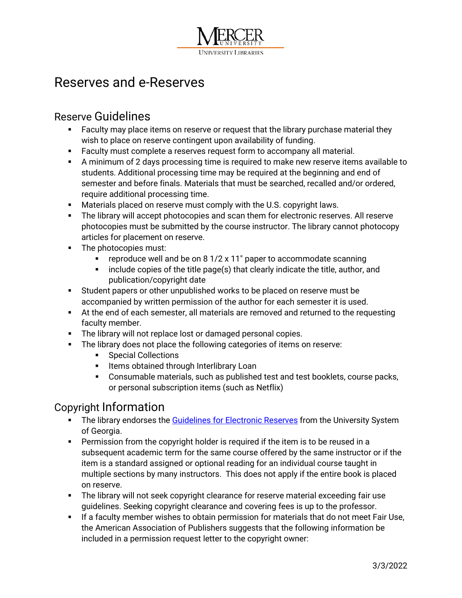

## Reserves and e-Reserves

## Reserve Guidelines

- Faculty may place items on reserve or request that the library purchase material they wish to place on reserve contingent upon availability of funding.
- **Faculty must complete a reserves request form to accompany all material.**
- A minimum of 2 days processing time is required to make new reserve items available to students. Additional processing time may be required at the beginning and end of semester and before finals. Materials that must be searched, recalled and/or ordered, require additional processing time.
- Materials placed on reserve must comply with the U.S. copyright laws.
- **The library will accept photocopies and scan them for electronic reserves. All reserve** photocopies must be submitted by the course instructor. The library cannot photocopy articles for placement on reserve.
- The photocopies must:
	- **•** reproduce well and be on 8 1/2  $\times$  11" paper to accommodate scanning
	- $\blacksquare$  include copies of the title page(s) that clearly indicate the title, author, and publication/copyright date
- Student papers or other unpublished works to be placed on reserve must be accompanied by written permission of the author for each semester it is used.
- At the end of each semester, all materials are removed and returned to the requesting faculty member.
- The library will not replace lost or damaged personal copies.
- **The library does not place the following categories of items on reserve:** 
	- **Special Collections**
	- **Items obtained through Interlibrary Loan**
	- Consumable materials, such as published test and test booklets, course packs, or personal subscription items (such as Netflix)

## Copyright Information

- The library endorses the [Guidelines for Electronic Reserves](http://www.usg.edu/copyright/additional_guidelines_for_electronic_reserves/) from the University System of Georgia.
- **Permission from the copyright holder is required if the item is to be reused in a** subsequent academic term for the same course offered by the same instructor or if the item is a standard assigned or optional reading for an individual course taught in multiple sections by many instructors. This does not apply if the entire book is placed on reserve.
- The library will not seek copyright clearance for reserve material exceeding fair use guidelines. Seeking copyright clearance and covering fees is up to the professor.
- **If a faculty member wishes to obtain permission for materials that do not meet Fair Use,** the American Association of Publishers suggests that the following information be included in a permission request letter to the copyright owner: